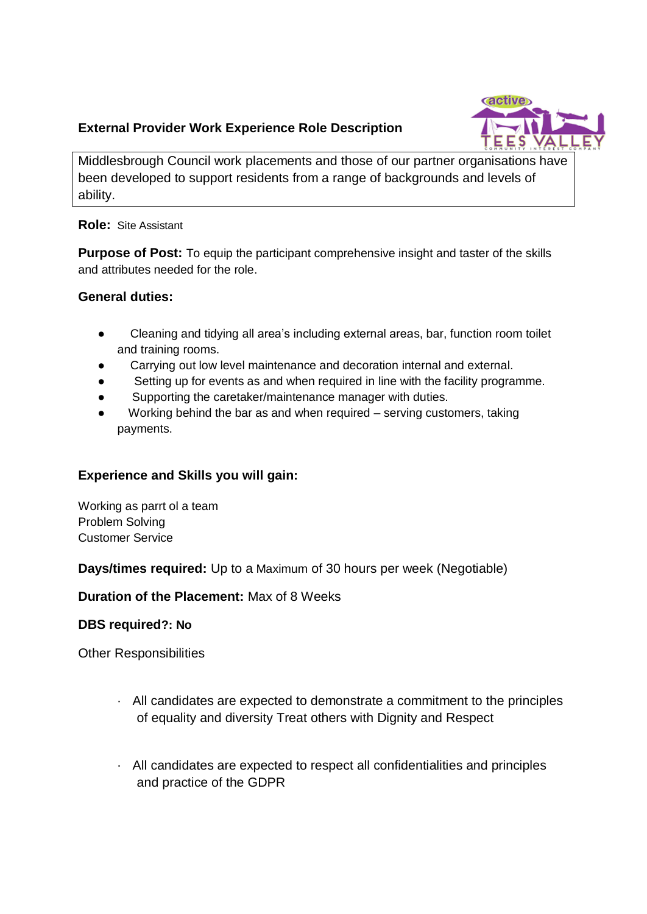# **External Provider Work Experience Role Description**



Middlesbrough Council work placements and those of our partner organisations have been developed to support residents from a range of backgrounds and levels of ability.

**Role:** Site Assistant

**Purpose of Post:** To equip the participant comprehensive insight and taster of the skills and attributes needed for the role.

### **General duties:**

- Cleaning and tidying all area's including external areas, bar, function room toilet and training rooms.
- Carrying out low level maintenance and decoration internal and external.
- Setting up for events as and when required in line with the facility programme.
- Supporting the caretaker/maintenance manager with duties.
- Working behind the bar as and when required  $-$  serving customers, taking payments.

## **Experience and Skills you will gain:**

Working as parrt ol a team Problem Solving Customer Service

**Days/times required:** Up to a Maximum of 30 hours per week (Negotiable)

**Duration of the Placement:** Max of 8 Weeks

### **DBS required?: No**

Other Responsibilities

- · All candidates are expected to demonstrate a commitment to the principles of equality and diversity Treat others with Dignity and Respect
- · All candidates are expected to respect all confidentialities and principles and practice of the GDPR